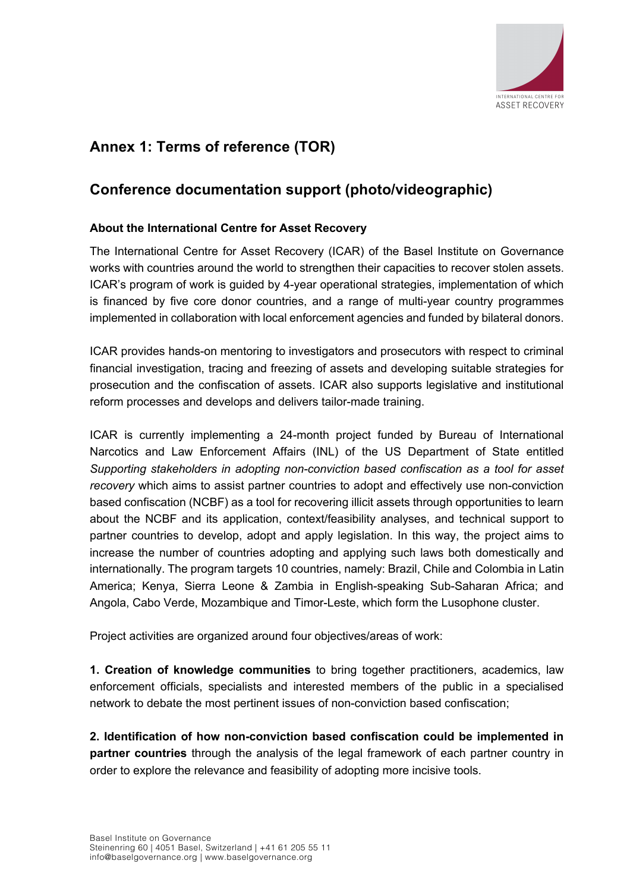

# **Annex 1: Terms of reference (TOR)**

# **Conference documentation support (photo/videographic)**

## **About the International Centre for Asset Recovery**

The International Centre for Asset Recovery (ICAR) of the Basel Institute on Governance works with countries around the world to strengthen their capacities to recover stolen assets. ICAR's program of work is guided by 4-year operational strategies, implementation of which is financed by five core donor countries, and a range of multi-year country programmes implemented in collaboration with local enforcement agencies and funded by bilateral donors.

ICAR provides hands-on mentoring to investigators and prosecutors with respect to criminal financial investigation, tracing and freezing of assets and developing suitable strategies for prosecution and the confiscation of assets. ICAR also supports legislative and institutional reform processes and develops and delivers tailor-made training.

ICAR is currently implementing a 24-month project funded by Bureau of International Narcotics and Law Enforcement Affairs (INL) of the US Department of State entitled *Supporting stakeholders in adopting non-conviction based confiscation as a tool for asset recovery* which aims to assist partner countries to adopt and effectively use non-conviction based confiscation (NCBF) as a tool for recovering illicit assets through opportunities to learn about the NCBF and its application, context/feasibility analyses, and technical support to partner countries to develop, adopt and apply legislation. In this way, the project aims to increase the number of countries adopting and applying such laws both domestically and internationally. The program targets 10 countries, namely: Brazil, Chile and Colombia in Latin America; Kenya, Sierra Leone & Zambia in English-speaking Sub-Saharan Africa; and Angola, Cabo Verde, Mozambique and Timor-Leste, which form the Lusophone cluster.

Project activities are organized around four objectives/areas of work:

**1. Creation of knowledge communities** to bring together practitioners, academics, law enforcement officials, specialists and interested members of the public in a specialised network to debate the most pertinent issues of non-conviction based confiscation;

**2. Identification of how non-conviction based confiscation could be implemented in partner countries** through the analysis of the legal framework of each partner country in order to explore the relevance and feasibility of adopting more incisive tools.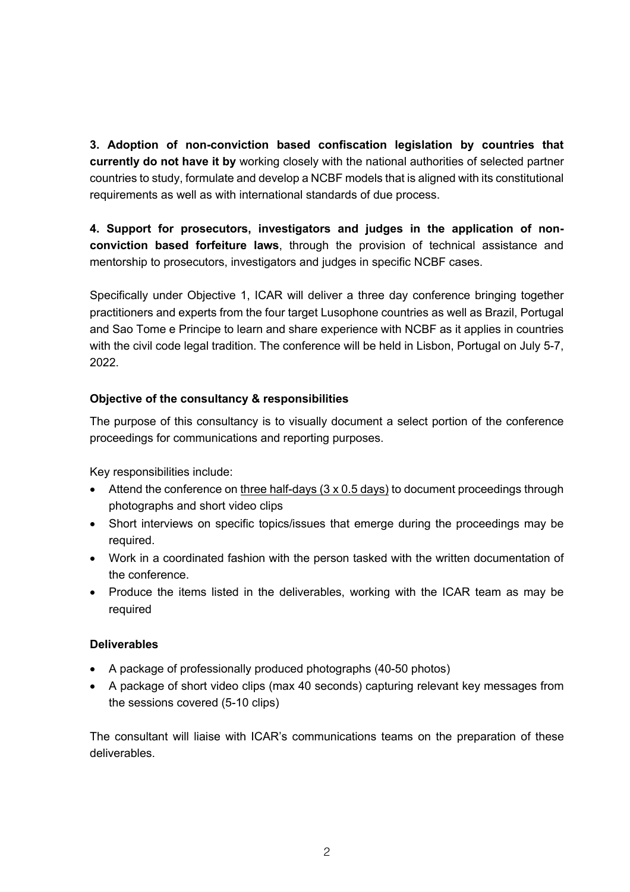**3. Adoption of non-conviction based confiscation legislation by countries that currently do not have it by** working closely with the national authorities of selected partner countries to study, formulate and develop a NCBF models that is aligned with its constitutional requirements as well as with international standards of due process.

**4. Support for prosecutors, investigators and judges in the application of nonconviction based forfeiture laws**, through the provision of technical assistance and mentorship to prosecutors, investigators and judges in specific NCBF cases.

Specifically under Objective 1, ICAR will deliver a three day conference bringing together practitioners and experts from the four target Lusophone countries as well as Brazil, Portugal and Sao Tome e Principe to learn and share experience with NCBF as it applies in countries with the civil code legal tradition. The conference will be held in Lisbon, Portugal on July 5-7, 2022.

# **Objective of the consultancy & responsibilities**

The purpose of this consultancy is to visually document a select portion of the conference proceedings for communications and reporting purposes.

Key responsibilities include:

- Attend the conference on three half-days (3 x 0.5 days) to document proceedings through photographs and short video clips
- Short interviews on specific topics/issues that emerge during the proceedings may be required.
- Work in a coordinated fashion with the person tasked with the written documentation of the conference.
- Produce the items listed in the deliverables, working with the ICAR team as may be required

#### **Deliverables**

- A package of professionally produced photographs (40-50 photos)
- A package of short video clips (max 40 seconds) capturing relevant key messages from the sessions covered (5-10 clips)

The consultant will liaise with ICAR's communications teams on the preparation of these deliverables.